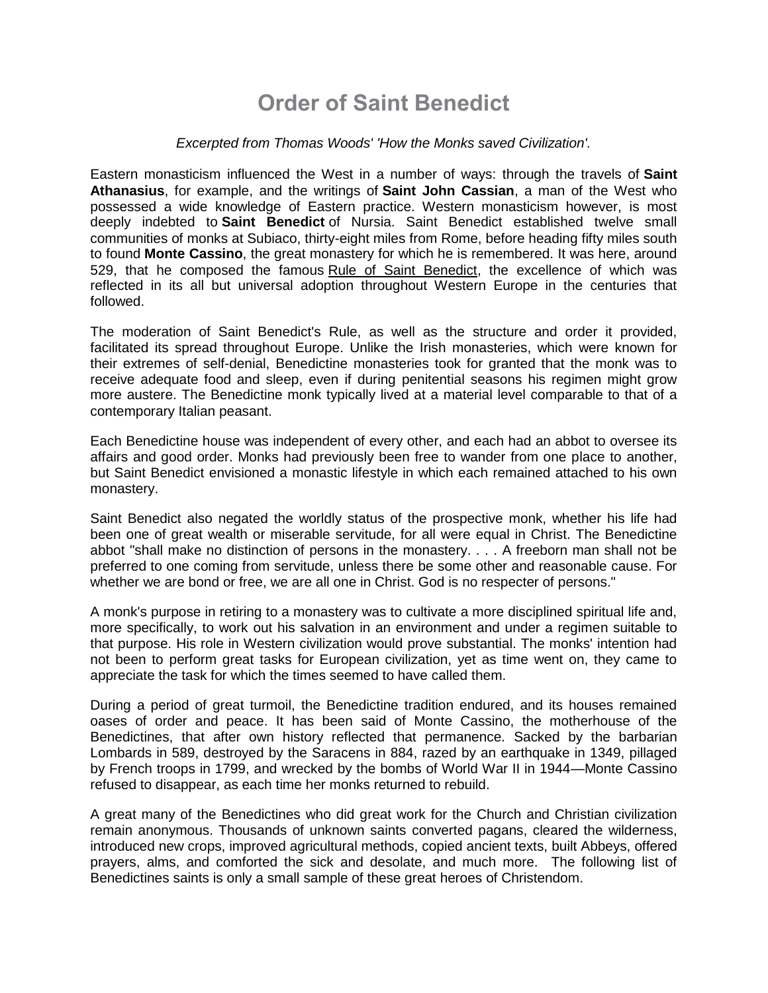## **Order of Saint Benedict**

#### *Excerpted from Thomas Woods' 'How the Monks saved Civilization'.*

Eastern monasticism influenced the West in a number of ways: through the travels of **Saint Athanasius**, for example, and the writings of **Saint John Cassian**, a man of the West who possessed a wide knowledge of Eastern practice. Western monasticism however, is most deeply indebted to **Saint Benedict** of Nursia. Saint Benedict established twelve small communities of monks at Subiaco, thirty-eight miles from Rome, before heading fifty miles south to found **Monte Cassino**, the great monastery for which he is remembered. It was here, around 529, that he composed the famous Rule of Saint Benedict, the excellence of which was reflected in its all but universal adoption throughout Western Europe in the centuries that followed.

The moderation of Saint Benedict's Rule, as well as the structure and order it provided, facilitated its spread throughout Europe. Unlike the Irish monasteries, which were known for their extremes of self-denial, Benedictine monasteries took for granted that the monk was to receive adequate food and sleep, even if during penitential seasons his regimen might grow more austere. The Benedictine monk typically lived at a material level comparable to that of a contemporary Italian peasant.

Each Benedictine house was independent of every other, and each had an abbot to oversee its affairs and good order. Monks had previously been free to wander from one place to another, but Saint Benedict envisioned a monastic lifestyle in which each remained attached to his own monastery.

Saint Benedict also negated the worldly status of the prospective monk, whether his life had been one of great wealth or miserable servitude, for all were equal in Christ. The Benedictine abbot "shall make no distinction of persons in the monastery. . . . A freeborn man shall not be preferred to one coming from servitude, unless there be some other and reasonable cause. For whether we are bond or free, we are all one in Christ. God is no respecter of persons."

A monk's purpose in retiring to a monastery was to cultivate a more disciplined spiritual life and, more specifically, to work out his salvation in an environment and under a regimen suitable to that purpose. His role in Western civilization would prove substantial. The monks' intention had not been to perform great tasks for European civilization, yet as time went on, they came to appreciate the task for which the times seemed to have called them.

During a period of great turmoil, the Benedictine tradition endured, and its houses remained oases of order and peace. It has been said of Monte Cassino, the motherhouse of the Benedictines, that after own history reflected that permanence. Sacked by the barbarian Lombards in 589, destroyed by the Saracens in 884, razed by an earthquake in 1349, pillaged by French troops in 1799, and wrecked by the bombs of World War II in 1944—Monte Cassino refused to disappear, as each time her monks returned to rebuild.

A great many of the Benedictines who did great work for the Church and Christian civilization remain anonymous. Thousands of unknown saints converted pagans, cleared the wilderness, introduced new crops, improved agricultural methods, copied ancient texts, built Abbeys, offered prayers, alms, and comforted the sick and desolate, and much more. The following list of Benedictines saints is only a small sample of these great heroes of Christendom.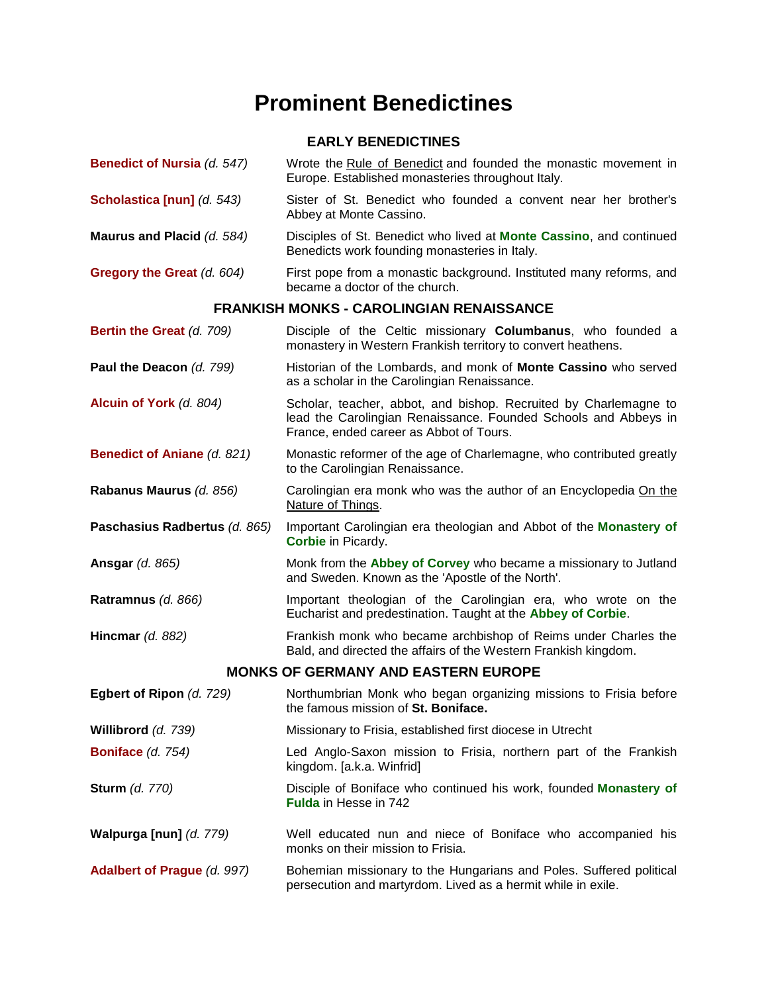# **Prominent Benedictines**

### **EARLY BENEDICTINES**

| Benedict of Nursia (d. 547)                     | Wrote the Rule of Benedict and founded the monastic movement in<br>Europe. Established monasteries throughout Italy.                                                           |  |
|-------------------------------------------------|--------------------------------------------------------------------------------------------------------------------------------------------------------------------------------|--|
| Scholastica [nun] (d. 543)                      | Sister of St. Benedict who founded a convent near her brother's<br>Abbey at Monte Cassino.                                                                                     |  |
| Maurus and Placid (d. 584)                      | Disciples of St. Benedict who lived at <b>Monte Cassino</b> , and continued<br>Benedicts work founding monasteries in Italy.                                                   |  |
| Gregory the Great (d. 604)                      | First pope from a monastic background. Instituted many reforms, and<br>became a doctor of the church.                                                                          |  |
| <b>FRANKISH MONKS - CAROLINGIAN RENAISSANCE</b> |                                                                                                                                                                                |  |
| Bertin the Great (d. 709)                       | Disciple of the Celtic missionary <b>Columbanus</b> , who founded a<br>monastery in Western Frankish territory to convert heathens.                                            |  |
| Paul the Deacon (d. 799)                        | Historian of the Lombards, and monk of Monte Cassino who served<br>as a scholar in the Carolingian Renaissance.                                                                |  |
| Alcuin of York (d. 804)                         | Scholar, teacher, abbot, and bishop. Recruited by Charlemagne to<br>lead the Carolingian Renaissance. Founded Schools and Abbeys in<br>France, ended career as Abbot of Tours. |  |
| <b>Benedict of Aniane (d. 821)</b>              | Monastic reformer of the age of Charlemagne, who contributed greatly<br>to the Carolingian Renaissance.                                                                        |  |
| Rabanus Maurus (d. 856)                         | Carolingian era monk who was the author of an Encyclopedia On the<br>Nature of Things.                                                                                         |  |
| Paschasius Radbertus (d. 865)                   | Important Carolingian era theologian and Abbot of the Monastery of<br><b>Corbie</b> in Picardy.                                                                                |  |
| <b>Ansgar (d. 865)</b>                          | Monk from the Abbey of Corvey who became a missionary to Jutland<br>and Sweden. Known as the 'Apostle of the North'.                                                           |  |
| Ratramnus (d. 866)                              | Important theologian of the Carolingian era, who wrote on the<br>Eucharist and predestination. Taught at the Abbey of Corbie.                                                  |  |
| Hincmar $(d. 882)$                              | Frankish monk who became archbishop of Reims under Charles the<br>Bald, and directed the affairs of the Western Frankish kingdom.                                              |  |
| <b>MONKS OF GERMANY AND EASTERN EUROPE</b>      |                                                                                                                                                                                |  |
| Egbert of Ripon (d. 729)                        | Northumbrian Monk who began organizing missions to Frisia before<br>the famous mission of St. Boniface.                                                                        |  |
| Willibrord (d. 739)                             | Missionary to Frisia, established first diocese in Utrecht                                                                                                                     |  |
| Boniface (d. 754)                               | Led Anglo-Saxon mission to Frisia, northern part of the Frankish<br>kingdom. [a.k.a. Winfrid]                                                                                  |  |
| <b>Sturm</b> (d. 770)                           | Disciple of Boniface who continued his work, founded Monastery of<br><b>Fulda</b> in Hesse in 742                                                                              |  |
| Walpurga [nun] (d. 779)                         | Well educated nun and niece of Boniface who accompanied his<br>monks on their mission to Frisia.                                                                               |  |
| Adalbert of Prague (d. 997)                     | Bohemian missionary to the Hungarians and Poles. Suffered political<br>persecution and martyrdom. Lived as a hermit while in exile.                                            |  |